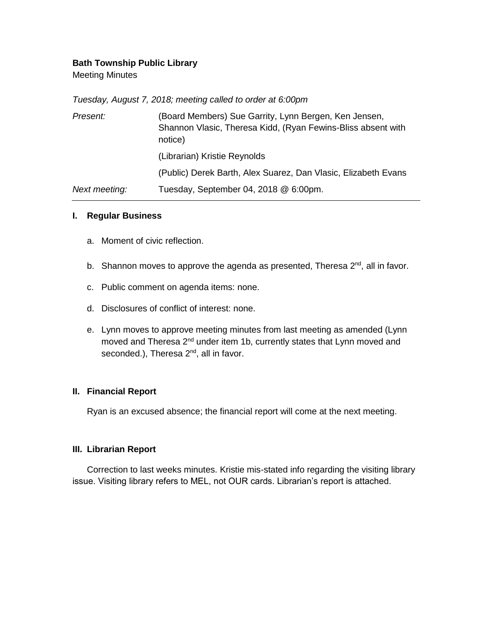# **Bath Township Public Library**

Meeting Minutes

*Tuesday, August 7, 2018; meeting called to order at 6:00pm*

| Present:      | (Board Members) Sue Garrity, Lynn Bergen, Ken Jensen,<br>Shannon Vlasic, Theresa Kidd, (Ryan Fewins-Bliss absent with<br>notice) |
|---------------|----------------------------------------------------------------------------------------------------------------------------------|
|               | (Librarian) Kristie Reynolds                                                                                                     |
|               | (Public) Derek Barth, Alex Suarez, Dan Vlasic, Elizabeth Evans                                                                   |
| Next meeting: | Tuesday, September 04, 2018 @ 6:00pm.                                                                                            |

#### **I. Regular Business**

- a. Moment of civic reflection.
- b. Shannon moves to approve the agenda as presented, Theresa 2<sup>nd</sup>, all in favor.
- c. Public comment on agenda items: none.
- d. Disclosures of conflict of interest: none.
- e. Lynn moves to approve meeting minutes from last meeting as amended (Lynn moved and Theresa 2<sup>nd</sup> under item 1b, currently states that Lynn moved and seconded.), Theresa 2<sup>nd</sup>, all in favor.

## **II. Financial Report**

Ryan is an excused absence; the financial report will come at the next meeting.

## **III. Librarian Report**

Correction to last weeks minutes. Kristie mis-stated info regarding the visiting library issue. Visiting library refers to MEL, not OUR cards. Librarian's report is attached.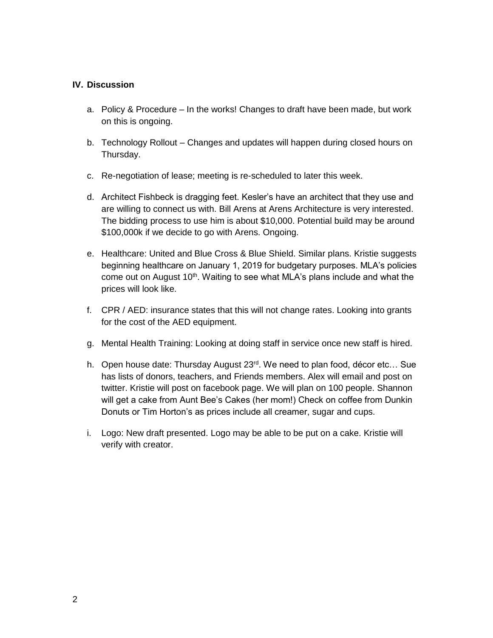## **IV. Discussion**

- a. Policy & Procedure In the works! Changes to draft have been made, but work on this is ongoing.
- b. Technology Rollout Changes and updates will happen during closed hours on Thursday.
- c. Re-negotiation of lease; meeting is re-scheduled to later this week.
- d. Architect Fishbeck is dragging feet. Kesler's have an architect that they use and are willing to connect us with. Bill Arens at Arens Architecture is very interested. The bidding process to use him is about \$10,000. Potential build may be around \$100,000k if we decide to go with Arens. Ongoing.
- e. Healthcare: United and Blue Cross & Blue Shield. Similar plans. Kristie suggests beginning healthcare on January 1, 2019 for budgetary purposes. MLA's policies come out on August 10<sup>th</sup>. Waiting to see what MLA's plans include and what the prices will look like.
- f. CPR / AED: insurance states that this will not change rates. Looking into grants for the cost of the AED equipment.
- g. Mental Health Training: Looking at doing staff in service once new staff is hired.
- h. Open house date: Thursday August 23<sup>rd</sup>. We need to plan food, décor etc... Sue has lists of donors, teachers, and Friends members. Alex will email and post on twitter. Kristie will post on facebook page. We will plan on 100 people. Shannon will get a cake from Aunt Bee's Cakes (her mom!) Check on coffee from Dunkin Donuts or Tim Horton's as prices include all creamer, sugar and cups.
- i. Logo: New draft presented. Logo may be able to be put on a cake. Kristie will verify with creator.